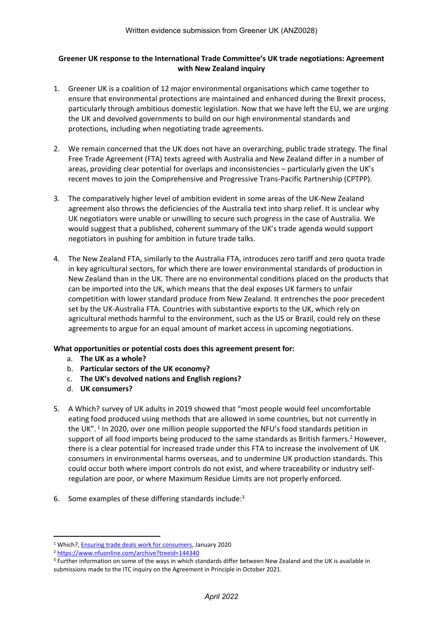# **Greener UK response to the International Trade Committee's UK trade negotiations: Agreement with New Zealand inquiry**

- 1. Greener UK is a coalition of 12 major environmental organisations which came together to ensure that environmental protections are maintained and enhanced during the Brexit process, particularly through ambitious domestic legislation. Now that we have left the EU, we are urging the UK and devolved governments to build on our high environmental standards and protections, including when negotiating trade agreements.
- 2. We remain concerned that the UK does not have an overarching, public trade strategy. The final Free Trade Agreement (FTA) texts agreed with Australia and New Zealand differ in a number of areas, providing clear potential for overlaps and inconsistencies – particularly given the UK's recent moves to join the Comprehensive and Progressive Trans-Pacific Partnership (CPTPP).
- 3. The comparatively higher level of ambition evident in some areas of the UK-New Zealand agreement also throws the deficiencies of the Australia text into sharp relief. It is unclear why UK negotiators were unable or unwilling to secure such progress in the case of Australia. We would suggest that a published, coherent summary of the UK's trade agenda would support negotiators in pushing for ambition in future trade talks.
- 4. The New Zealand FTA, similarly to the Australia FTA, introduces zero tariff and zero quota trade in key agricultural sectors, for which there are lower environmental standards of production in New Zealand than in the UK. There are no environmental conditions placed on the products that can be imported into the UK, which means that the deal exposes UK farmers to unfair competition with lower standard produce from New Zealand. It entrenches the poor precedent set by the UK-Australia FTA. Countries with substantive exports to the UK, which rely on agricultural methods harmful to the environment, such as the US or Brazil, could rely on these agreements to argue for an equal amount of market access in upcoming negotiations.

# **What opportunities or potential costs does this agreement present for:**

- a. **The UK as a whole?**
- b. **Particular sectors of the UK economy?**
- c. **The UK's devolved nations and English regions?**
- d. **UK consumers?**
- 5. A Which? survey of UK adults in 2019 showed that "most people would feel uncomfortable eating food produced using methods that are allowed in some countries, but not currently in the UK".<sup>1</sup> In 2020, over one million people supported the NFU's food standards petition in support of all food imports being produced to the same standards as British farmers.<sup>2</sup> However, there is a clear potential for increased trade under this FTA to increase the involvement of UK consumers in environmental harms overseas, and to undermine UK production standards. This could occur both where import controls do not exist, and where traceability or industry selfregulation are poor, or where Maximum Residue Limits are not properly enforced.
- 6. Some examples of these differing standards include:<sup>3</sup>

<sup>&</sup>lt;sup>1</sup> Which?, **[Ensuring](https://campaigns.which.co.uk/trade-deals/wp-content/uploads/sites/31/2020/01/5e2f163d92b97-Trade-deals-v4-2.pdf) [trade](https://campaigns.which.co.uk/trade-deals/wp-content/uploads/sites/31/2020/01/5e2f163d92b97-Trade-deals-v4-2.pdf) [deals](https://campaigns.which.co.uk/trade-deals/wp-content/uploads/sites/31/2020/01/5e2f163d92b97-Trade-deals-v4-2.pdf) [work](https://campaigns.which.co.uk/trade-deals/wp-content/uploads/sites/31/2020/01/5e2f163d92b97-Trade-deals-v4-2.pdf) [for](https://campaigns.which.co.uk/trade-deals/wp-content/uploads/sites/31/2020/01/5e2f163d92b97-Trade-deals-v4-2.pdf) [consumers](https://campaigns.which.co.uk/trade-deals/wp-content/uploads/sites/31/2020/01/5e2f163d92b97-Trade-deals-v4-2.pdf)**, January 2020

<sup>2</sup> <https://www.nfuonline.com/archive?treeid=144340>

<sup>3</sup> Further information on some of the ways in which standards differ between New Zealand and the UK is available in submissions made to the ITC inquiry on the Agreement in Principle in October 2021.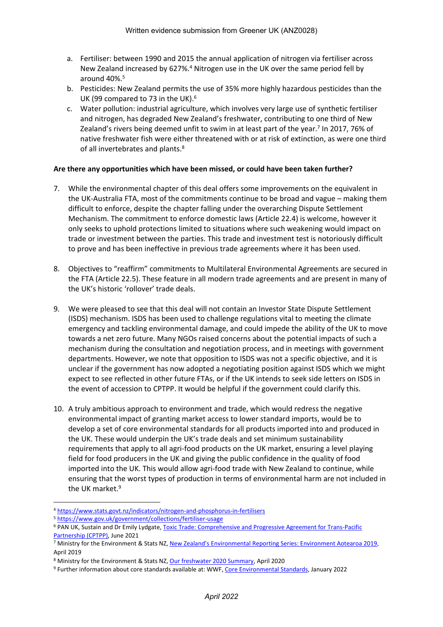- a. Fertiliser: between 1990 and 2015 the annual application of nitrogen via fertiliser across New Zealand increased by 627%.<sup>4</sup> Nitrogen use in the UK over the same period fell by around 40%.<sup>5</sup>
- b. Pesticides: New Zealand permits the use of 35% more highly hazardous pesticides than the UK (99 compared to 73 in the UK).<sup>6</sup>
- c. Water pollution: industrial agriculture, which involves very large use of synthetic fertiliser and nitrogen, has degraded New Zealand's freshwater, contributing to one third of New Zealand's rivers being deemed unfit to swim in at least part of the year.<sup>7</sup> In 2017, 76% of native freshwater fish were either threatened with or at risk of extinction, as were one third of all invertebrates and plants.<sup>8</sup>

### **Are there any opportunities which have been missed, or could have been taken further?**

- 7. While the environmental chapter of this deal offers some improvements on the equivalent in the UK-Australia FTA, most of the commitments continue to be broad and vague – making them difficult to enforce, despite the chapter falling under the overarching Dispute Settlement Mechanism. The commitment to enforce domestic laws (Article 22.4) is welcome, however it only seeks to uphold protections limited to situations where such weakening would impact on trade or investment between the parties. This trade and investment test is notoriously difficult to prove and has been ineffective in previous trade agreements where it has been used.
- 8. Objectives to "reaffirm" commitments to Multilateral Environmental Agreements are secured in the FTA (Article 22.5). These feature in all modern trade agreements and are present in many of the UK's historic 'rollover' trade deals.
- 9. We were pleased to see that this deal will not contain an Investor State Dispute Settlement (ISDS) mechanism. ISDS has been used to challenge regulations vital to meeting the climate emergency and tackling environmental damage, and could impede the ability of the UK to move towards a net zero future. Many NGOs raised concerns about the potential impacts of such a mechanism during the consultation and negotiation process, and in meetings with government departments. However, we note that opposition to ISDS was not a specific objective, and it is unclear if the government has now adopted a negotiating position against ISDS which we might expect to see reflected in other future FTAs, or if the UK intends to seek side letters on ISDS in the event of accession to CPTPP. It would be helpful if the government could clarify this.
- 10. A truly ambitious approach to environment and trade, which would redress the negative environmental impact of granting market access to lower standard imports, would be to develop a set of core environmental standards for all products imported into and produced in the UK. These would underpin the UK's trade deals and set minimum sustainability requirements that apply to all agri-food products on the UK market, ensuring a level playing field for food producers in the UK and giving the public confidence in the quality of food imported into the UK. This would allow agri-food trade with New Zealand to continue, while ensuring that the worst types of production in terms of environmental harm are not included in the UK market.<sup>9</sup>

<sup>4</sup> <https://www.stats.govt.nz/indicators/nitrogen-and-phosphorus-in-fertilisers>

<sup>5</sup> <https://www.gov.uk/government/collections/fertiliser-usage>

<sup>6</sup> PAN UK, Sustain and Dr Emily Lydgate, [Toxic](https://issuu.com/pan-uk/docs/toxic_trade_-_cptpp_-_final?fr=sMzlmMzExOTMxNQ) [Trade:](https://issuu.com/pan-uk/docs/toxic_trade_-_cptpp_-_final?fr=sMzlmMzExOTMxNQ) [Comprehensive](https://issuu.com/pan-uk/docs/toxic_trade_-_cptpp_-_final?fr=sMzlmMzExOTMxNQ) [and](https://issuu.com/pan-uk/docs/toxic_trade_-_cptpp_-_final?fr=sMzlmMzExOTMxNQ) [Progressive](https://issuu.com/pan-uk/docs/toxic_trade_-_cptpp_-_final?fr=sMzlmMzExOTMxNQ) [Agreement](https://issuu.com/pan-uk/docs/toxic_trade_-_cptpp_-_final?fr=sMzlmMzExOTMxNQ) [for](https://issuu.com/pan-uk/docs/toxic_trade_-_cptpp_-_final?fr=sMzlmMzExOTMxNQ) [Trans-Pacific](https://issuu.com/pan-uk/docs/toxic_trade_-_cptpp_-_final?fr=sMzlmMzExOTMxNQ) [Partnership](https://issuu.com/pan-uk/docs/toxic_trade_-_cptpp_-_final?fr=sMzlmMzExOTMxNQ) [\(CPTPP\)](https://issuu.com/pan-uk/docs/toxic_trade_-_cptpp_-_final?fr=sMzlmMzExOTMxNQ), June 2021

<sup>7</sup> Ministry for the Environment & Stats NZ, [New](https://environment.govt.nz/assets/Publications/Files/environment-aotearoa-2019.pdf) [Zealand's](https://environment.govt.nz/assets/Publications/Files/environment-aotearoa-2019.pdf) [Environmental](https://environment.govt.nz/assets/Publications/Files/environment-aotearoa-2019.pdf) [Reporting](https://environment.govt.nz/assets/Publications/Files/environment-aotearoa-2019.pdf) [Series:](https://environment.govt.nz/assets/Publications/Files/environment-aotearoa-2019.pdf) [Environment](https://environment.govt.nz/assets/Publications/Files/environment-aotearoa-2019.pdf) [Aotearoa](https://environment.govt.nz/assets/Publications/Files/environment-aotearoa-2019.pdf) [2019,](https://environment.govt.nz/assets/Publications/Files/environment-aotearoa-2019.pdf) April 2019

<sup>8</sup> Ministry for the Environment & Stats NZ, [Our](https://environment.govt.nz/assets/Publications/Files/our-freshwater-2020-summary.pdf) [freshwater](https://environment.govt.nz/assets/Publications/Files/our-freshwater-2020-summary.pdf) [2020](https://environment.govt.nz/assets/Publications/Files/our-freshwater-2020-summary.pdf) [Summary](https://environment.govt.nz/assets/Publications/Files/our-freshwater-2020-summary.pdf), April 2020

<sup>9</sup> Further information about core standards available at: WWF, [Core](https://www.wwf.org.uk/sites/default/files/2022-02/Core_standards_2022.pdf) [Environmental](https://www.wwf.org.uk/sites/default/files/2022-02/Core_standards_2022.pdf) [Standards,](https://www.wwf.org.uk/sites/default/files/2022-02/Core_standards_2022.pdf) January 2022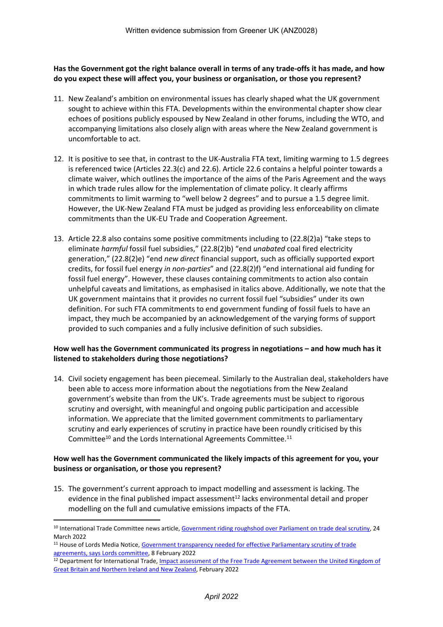**Has the Government got the right balance overall in terms of any trade-offs it has made, and how do you expect these will affect you, your business or organisation, or those you represent?**

- 11. New Zealand's ambition on environmental issues has clearly shaped what the UK government sought to achieve within this FTA. Developments within the environmental chapter show clear echoes of positions publicly espoused by New Zealand in other forums, including the WTO, and accompanying limitations also closely align with areas where the New Zealand government is uncomfortable to act.
- 12. It is positive to see that, in contrast to the UK-Australia FTA text, limiting warming to 1.5 degrees is referenced twice (Articles 22.3(c) and 22.6). Article 22.6 contains a helpful pointer towards a climate waiver, which outlines the importance of the aims of the Paris Agreement and the ways in which trade rules allow for the implementation of climate policy. It clearly affirms commitments to limit warming to "well below 2 degrees" and to pursue a 1.5 degree limit. However, the UK-New Zealand FTA must be judged as providing less enforceability on climate commitments than the UK-EU Trade and Cooperation Agreement.
- 13. Article 22.8 also contains some positive commitments including to (22.8(2)a) "take steps to eliminate *harmful* fossil fuel subsidies," (22.8(2)b) "end *unabated* coal fired electricity generation," (22.8(2)e) "end *new direct* financial support, such as officially supported export credits, for fossil fuel energy *in non-parties*" and (22.8(2)f) "end international aid funding for fossil fuel energy". However, these clauses containing commitments to action also contain unhelpful caveats and limitations, as emphasised in italics above. Additionally, we note that the UK government maintains that it provides no current fossil fuel "subsidies" under its own definition. For such FTA commitments to end government funding of fossil fuels to have an impact, they much be accompanied by an acknowledgement of the varying forms of support provided to such companies and a fully inclusive definition of such subsidies.

### **How well has the Government communicated its progress in negotiations – and how much has it listened to stakeholders during those negotiations?**

14. Civil society engagement has been piecemeal. Similarly to the Australian deal, stakeholders have been able to access more information about the negotiations from the New Zealand government's website than from the UK's. Trade agreements must be subject to rigorous scrutiny and oversight, with meaningful and ongoing public participation and accessible information. We appreciate that the limited government commitments to parliamentary scrutiny and early experiences of scrutiny in practice have been roundly criticised by this Committee<sup>10</sup> and the Lords International Agreements Committee.<sup>11</sup>

### **How well has the Government communicated the likely impacts of this agreement for you, your business or organisation, or those you represent?**

15. The government's current approach to impact modelling and assessment is lacking. The evidence in the final published impact assessment $12$  lacks environmental detail and proper modelling on the full and cumulative emissions impacts of the FTA.

<sup>&</sup>lt;sup>10</sup> International Trade Committee news article, [Government](https://committees.parliament.uk/committee/367/international-trade-committee/news/165058/government-riding-roughshod-over-parliament-on-trade-deal-scrutiny/) [riding](https://committees.parliament.uk/committee/367/international-trade-committee/news/165058/government-riding-roughshod-over-parliament-on-trade-deal-scrutiny/) [roughshod](https://committees.parliament.uk/committee/367/international-trade-committee/news/165058/government-riding-roughshod-over-parliament-on-trade-deal-scrutiny/) [over](https://committees.parliament.uk/committee/367/international-trade-committee/news/165058/government-riding-roughshod-over-parliament-on-trade-deal-scrutiny/) [Parliament](https://committees.parliament.uk/committee/367/international-trade-committee/news/165058/government-riding-roughshod-over-parliament-on-trade-deal-scrutiny/) [on](https://committees.parliament.uk/committee/367/international-trade-committee/news/165058/government-riding-roughshod-over-parliament-on-trade-deal-scrutiny/) [trade](https://committees.parliament.uk/committee/367/international-trade-committee/news/165058/government-riding-roughshod-over-parliament-on-trade-deal-scrutiny/) [deal](https://committees.parliament.uk/committee/367/international-trade-committee/news/165058/government-riding-roughshod-over-parliament-on-trade-deal-scrutiny/) [scrutiny](https://committees.parliament.uk/committee/367/international-trade-committee/news/165058/government-riding-roughshod-over-parliament-on-trade-deal-scrutiny/), 24 March 2022

<sup>&</sup>lt;sup>11</sup> House of Lords Media Notice, [Government](https://www.parliament.uk/business/lords/media-centre/house-of-lords-media-notices/2022/february-2022/government-transparency-needed-for-effective-parliamentary-scrutiny-of-trade-agreements--says-lords-committee/) [transparency](https://www.parliament.uk/business/lords/media-centre/house-of-lords-media-notices/2022/february-2022/government-transparency-needed-for-effective-parliamentary-scrutiny-of-trade-agreements--says-lords-committee/) [needed](https://www.parliament.uk/business/lords/media-centre/house-of-lords-media-notices/2022/february-2022/government-transparency-needed-for-effective-parliamentary-scrutiny-of-trade-agreements--says-lords-committee/) [for](https://www.parliament.uk/business/lords/media-centre/house-of-lords-media-notices/2022/february-2022/government-transparency-needed-for-effective-parliamentary-scrutiny-of-trade-agreements--says-lords-committee/) [effective](https://www.parliament.uk/business/lords/media-centre/house-of-lords-media-notices/2022/february-2022/government-transparency-needed-for-effective-parliamentary-scrutiny-of-trade-agreements--says-lords-committee/) [Parliamentary](https://www.parliament.uk/business/lords/media-centre/house-of-lords-media-notices/2022/february-2022/government-transparency-needed-for-effective-parliamentary-scrutiny-of-trade-agreements--says-lords-committee/) [scrutiny](https://www.parliament.uk/business/lords/media-centre/house-of-lords-media-notices/2022/february-2022/government-transparency-needed-for-effective-parliamentary-scrutiny-of-trade-agreements--says-lords-committee/) [of](https://www.parliament.uk/business/lords/media-centre/house-of-lords-media-notices/2022/february-2022/government-transparency-needed-for-effective-parliamentary-scrutiny-of-trade-agreements--says-lords-committee/) [trade](https://www.parliament.uk/business/lords/media-centre/house-of-lords-media-notices/2022/february-2022/government-transparency-needed-for-effective-parliamentary-scrutiny-of-trade-agreements--says-lords-committee/) [agreements,](https://www.parliament.uk/business/lords/media-centre/house-of-lords-media-notices/2022/february-2022/government-transparency-needed-for-effective-parliamentary-scrutiny-of-trade-agreements--says-lords-committee/) [says](https://www.parliament.uk/business/lords/media-centre/house-of-lords-media-notices/2022/february-2022/government-transparency-needed-for-effective-parliamentary-scrutiny-of-trade-agreements--says-lords-committee/) [Lords](https://www.parliament.uk/business/lords/media-centre/house-of-lords-media-notices/2022/february-2022/government-transparency-needed-for-effective-parliamentary-scrutiny-of-trade-agreements--says-lords-committee/) [committee](https://www.parliament.uk/business/lords/media-centre/house-of-lords-media-notices/2022/february-2022/government-transparency-needed-for-effective-parliamentary-scrutiny-of-trade-agreements--says-lords-committee/), 8 February 2022

<sup>&</sup>lt;sup>12</sup> Department for International Trade, [Impact](https://assets.publishing.service.gov.uk/government/uploads/system/uploads/attachment_data/file/1057311/uk-new-zealand-free-trade-agreement-impact-assessment.pdf) [assessment](https://assets.publishing.service.gov.uk/government/uploads/system/uploads/attachment_data/file/1057311/uk-new-zealand-free-trade-agreement-impact-assessment.pdf) [of](https://assets.publishing.service.gov.uk/government/uploads/system/uploads/attachment_data/file/1057311/uk-new-zealand-free-trade-agreement-impact-assessment.pdf) [the](https://assets.publishing.service.gov.uk/government/uploads/system/uploads/attachment_data/file/1057311/uk-new-zealand-free-trade-agreement-impact-assessment.pdf) [Free](https://assets.publishing.service.gov.uk/government/uploads/system/uploads/attachment_data/file/1057311/uk-new-zealand-free-trade-agreement-impact-assessment.pdf) [Trade](https://assets.publishing.service.gov.uk/government/uploads/system/uploads/attachment_data/file/1057311/uk-new-zealand-free-trade-agreement-impact-assessment.pdf) [Agreement](https://assets.publishing.service.gov.uk/government/uploads/system/uploads/attachment_data/file/1057311/uk-new-zealand-free-trade-agreement-impact-assessment.pdf) [between](https://assets.publishing.service.gov.uk/government/uploads/system/uploads/attachment_data/file/1057311/uk-new-zealand-free-trade-agreement-impact-assessment.pdf) the [United](https://assets.publishing.service.gov.uk/government/uploads/system/uploads/attachment_data/file/1057311/uk-new-zealand-free-trade-agreement-impact-assessment.pdf) [Kingdom](https://assets.publishing.service.gov.uk/government/uploads/system/uploads/attachment_data/file/1057311/uk-new-zealand-free-trade-agreement-impact-assessment.pdf) of [Great](https://assets.publishing.service.gov.uk/government/uploads/system/uploads/attachment_data/file/1057311/uk-new-zealand-free-trade-agreement-impact-assessment.pdf) [Britain](https://assets.publishing.service.gov.uk/government/uploads/system/uploads/attachment_data/file/1057311/uk-new-zealand-free-trade-agreement-impact-assessment.pdf) [and](https://assets.publishing.service.gov.uk/government/uploads/system/uploads/attachment_data/file/1057311/uk-new-zealand-free-trade-agreement-impact-assessment.pdf) [Northern](https://assets.publishing.service.gov.uk/government/uploads/system/uploads/attachment_data/file/1057311/uk-new-zealand-free-trade-agreement-impact-assessment.pdf) [Ireland](https://assets.publishing.service.gov.uk/government/uploads/system/uploads/attachment_data/file/1057311/uk-new-zealand-free-trade-agreement-impact-assessment.pdf) [and](https://assets.publishing.service.gov.uk/government/uploads/system/uploads/attachment_data/file/1057311/uk-new-zealand-free-trade-agreement-impact-assessment.pdf) [New](https://assets.publishing.service.gov.uk/government/uploads/system/uploads/attachment_data/file/1057311/uk-new-zealand-free-trade-agreement-impact-assessment.pdf) [Zealand,](https://assets.publishing.service.gov.uk/government/uploads/system/uploads/attachment_data/file/1057311/uk-new-zealand-free-trade-agreement-impact-assessment.pdf) February 2022